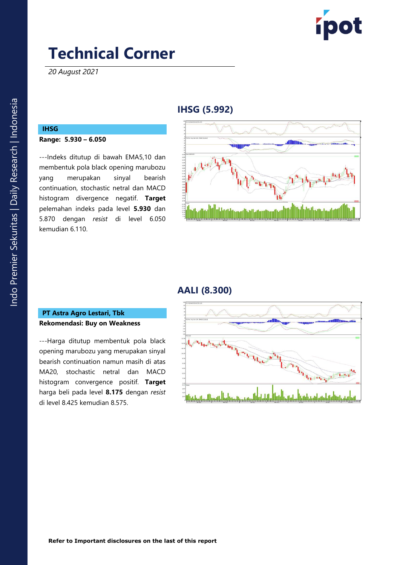

*20 August 2021*

## **IHSG ( 5 .992 )**

## **IHSG**

#### **Range: 5 .93 0 – 6.05 0**

---Indeks ditutup di bawah EMA5,10 dan membentuk pola black opening marubozu yang merupakan sinyal bearish continuation , stochastic netral dan MACD histogram divergence negatif. **Target** pelemahan indeks pada level **5 .93 0** dan 5 .870 dengan *resist* di level 6. 050 kemudian 6 .110 .



## **AALI ( 8 .300 )**

#### **PT Astra Agro Lestari, Tbk Rekomendasi: Buy on Weakness**

---Harga ditutup membentuk pola black opening marubozu yang merupakan sinyal bearish continuation namun masih di atas MA20, stochastic netral dan MACD histogram convergence positif. **Target**  harga beli pada level **8.175** dengan *resist*  di level 8.425 kemudian 8.575.

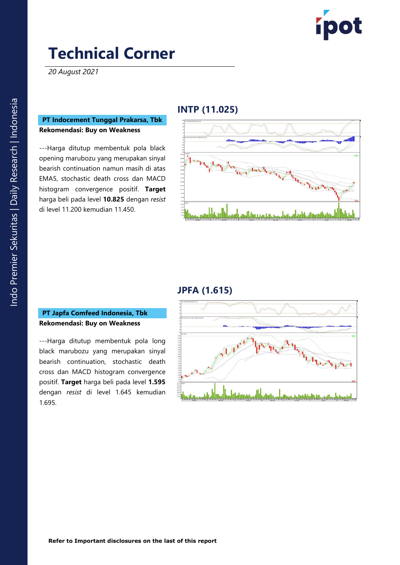

*20 August 2021*

### **PT Indocement Tunggal Prakarsa, Tbk Rekomendasi: Buy on Weakness**

---Harga ditutup membentuk pola black opening marubozu yang merupakan sinyal bearish continuation namun masih di atas EMA5, stochastic death cross dan MACD histogram convergence positif. **Target**  harga beli pada level **10 .825** dengan *resist*  di level 11 .200 kemudian 11 .450 .

### **INTP (11.025 )**



## **JPFA ( 1 .61 5 )**

### **PT Japfa Comfeed Indonesia, Tbk Rekomendasi: Buy on Weakness**

---Harga ditutup membentuk pola long black marubozu yang merupakan sinyal bearish continuation, stochastic death cross dan MACD histogram convergence positif. **Target** harga beli pada level **1 .59 5** dengan *resist* di level 1 .645 kemudian 1.69 5 .

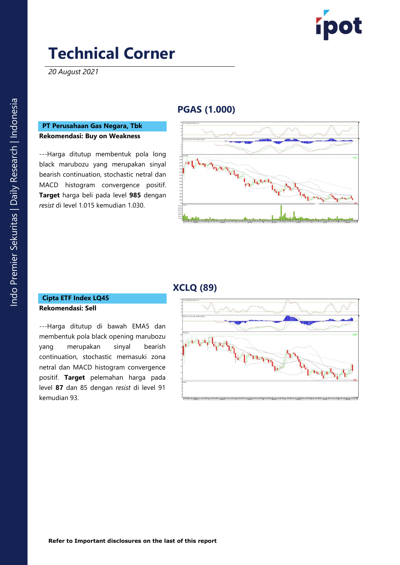

*20 August 2021*

## **PGAS (1.00 0 )**

#### **PT Perusahaan Gas Negara, Tbk Rekomendasi: Buy on Weakness**

---Harga ditutup membentuk pola long black marubozu yang merupakan sinyal bearish continuation, stochastic netral dan MACD histogram convergence positif. **Target** harga beli pada level **985** dengan *resist* di level 1.015 kemudian 1.030 .



### **XCLQ ( 8 9)**

#### **Cipta ETF Index LQ45 Rekomendasi: Sell**

---Harga ditutup di bawah EMA5 dan membentuk pola black opening marubozu yang merupakan sinyal bearish continuation, stochastic memasuki zona netral dan MACD histogram convergence positif. **Target** pelemahan harga pada level **8 7** dan 85 dengan *resist* di level 91 kemudian 9 3 .

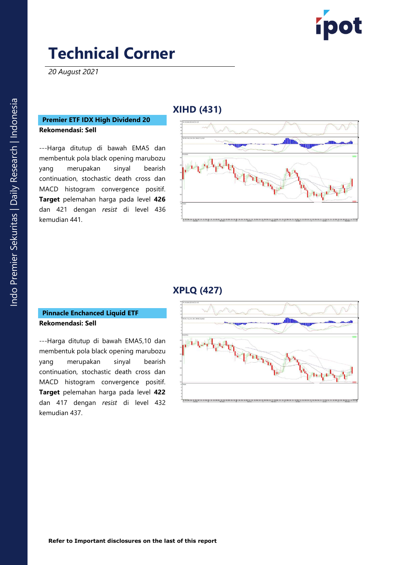

*20 August 2021*

## **X IHD ( 431 )**

### **Premier ETF IDX High Dividend 20 Rekomendasi: Sell**

---Harga ditutup di bawah EMA5 dan membentuk pola black opening marubozu yang merupakan sinyal bearish continuation, stochastic death cross dan MACD histogram convergence positif. **Target** pelemahan harga pada level **426** dan 421 dengan *resist* di level 436 kemudian 441.



### **X PLQ ( 4 2 7)**

#### **Pinnacle Enchanced Liquid ETF Rekomendasi: Sell**

---Harga ditutup di bawah EMA5,10 dan membentuk pola black opening marubozu yang merupakan sinyal bearish continuation, stochastic death cross dan MACD histogram convergence positif. **Target** pelemahan harga pada level **422** dan 417 dengan *resist* di level 43 2 kemudian 437 .